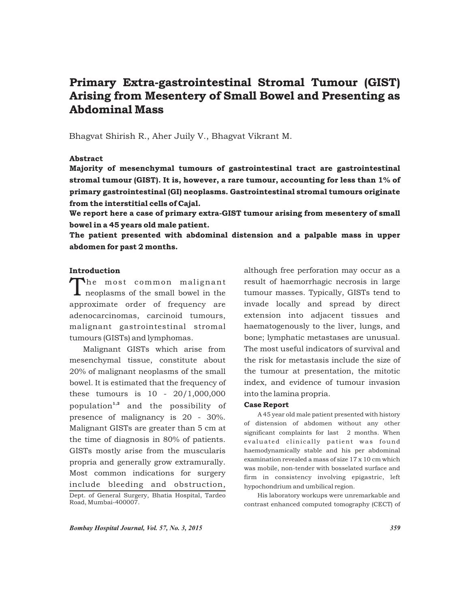# Primary Extra-gastrointestinal Stromal Tumour (GIST) Arising from Mesentery of Small Bowel and Presenting as Abdominal Mass

Bhagvat Shirish R., Aher Juily V., Bhagvat Vikrant M.

## Abstract

Majority of mesenchymal tumours of gastrointestinal tract are gastrointestinal stromal tumour (GIST). It is, however, a rare tumour, accounting for less than 1% of primary gastrointestinal (GI) neoplasms. Gastrointestinal stromal tumours originate from the interstitial cells of Cajal.

We report here a case of primary extra-GIST tumour arising from mesentery of small bowel in a 45 years old male patient.

The patient presented with abdominal distension and a palpable mass in upper abdomen for past 2 months.

# Introduction

The most common malignant<br>meoplasms of the small bowel in the approximate order of frequency are adenocarcinomas, carcinoid tumours, malignant gastrointestinal stromal tumours (GISTs) and lymphomas.

Malignant GISTs which arise from mesenchymal tissue, constitute about 20% of malignant neoplasms of the small bowel. It is estimated that the frequency of these tumours is 10 - 20/1,000,000 population<sup>1,2</sup> and the possibility of presence of malignancy is 20 - 30%. Malignant GISTs are greater than 5 cm at the time of diagnosis in 80% of patients. GISTs mostly arise from the muscularis propria and generally grow extramurally. Most common indications for surgery include bleeding and obstruction,

although free perforation may occur as a result of haemorrhagic necrosis in large tumour masses. Typically, GISTs tend to invade locally and spread by direct extension into adjacent tissues and haematogenously to the liver, lungs, and bone; lymphatic metastases are unusual. The most useful indicators of survival and the risk for metastasis include the size of the tumour at presentation, the mitotic index, and evidence of tumour invasion into the lamina propria.

## Case Report

A 45 year old male patient presented with history of distension of abdomen without any other significant complaints for last 2 months. When evaluated clinically patient was found haemodynamically stable and his per abdominal examination revealed a mass of size 17 x 10 cm which was mobile, non-tender with bosselated surface and firm in consistency involving epigastric, left hypochondrium and umbilical region.

His laboratory workups were unremarkable and contrast enhanced computed tomography (CECT) of

Dept. of General Surgery, Bhatia Hospital, Tardeo Road, Mumbai-400007.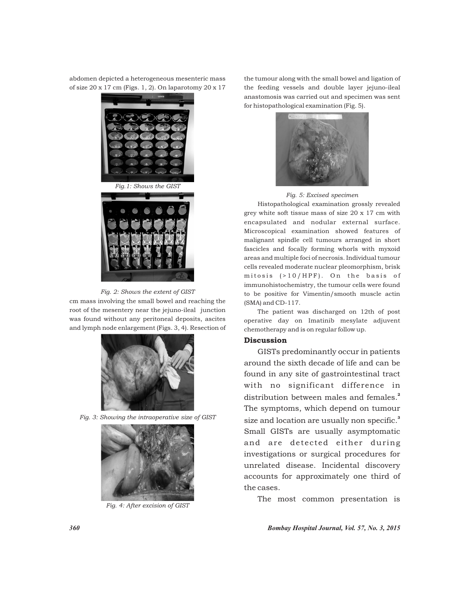abdomen depicted a heterogeneous mesenteric mass of size  $20 \times 17$  cm (Figs. 1, 2). On laparotomy  $20 \times 17$ 



*Fig. 2: Shows the extent of GIST*

cm mass involving the small bowel and reaching the root of the mesentery near the jejuno-ileal junction was found without any peritoneal deposits, ascites and lymph node enlargement (Figs. 3, 4). Resection of







*Fig. 4: After excision of GIST*

the tumour along with the small bowel and ligation of the feeding vessels and double layer jejuno-ileal anastomosis was carried out and specimen was sent for histopathological examination (Fig. 5).



#### *Fig. 5: Excised specimen*

Histopathological examination grossly revealed grey white soft tissue mass of size 20 x 17 cm with encapsulated and nodular external surface. Microscopical examination showed features of malignant spindle cell tumours arranged in short fascicles and focally forming whorls with myxoid areas and multiple foci of necrosis. Individual tumour cells revealed moderate nuclear pleomorphism, brisk mitosis  $( > 10 / HPF )$ . On the basis of immunohistochemistry, the tumour cells were found to be positive for Vimentin/smooth muscle actin (SMA) and CD-117.

The patient was discharged on 12th of post operative day on Imatinib mesylate adjuvent chemotherapy and is on regular follow up.

## Discussion

GISTs predominantly occur in patients around the sixth decade of life and can be found in any site of gastrointestinal tract with no significant difference in distribution between males and females.<sup>2</sup> The symptoms, which depend on tumour size and location are usually non specific.<sup>3</sup> Small GISTs are usually asymptomatic and are detected either during investigations or surgical procedures for unrelated disease. Incidental discovery accounts for approximately one third of the cases.

The most common presentation is

*360 Bombay Hospital Journal, Vol. 57, No. 3, 2015*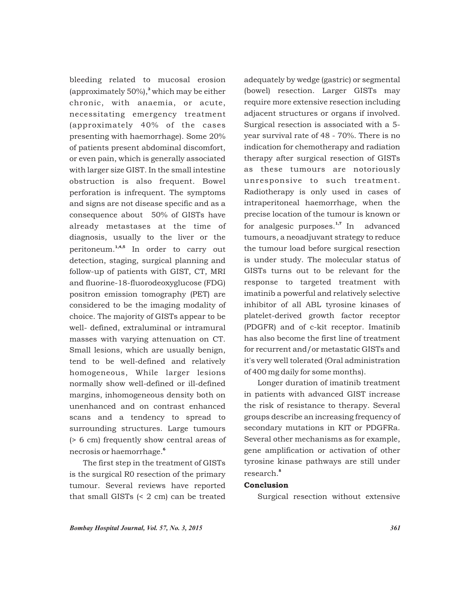bleeding related to mucosal erosion (approximately 50%),<sup>3</sup> which may be either chronic, with anaemia, or acute, necessitating emergency treatment (approximately 40% of the cases presenting with haemorrhage). Some 20% of patients present abdominal discomfort, or even pain, which is generally associated with larger size GIST. In the small intestine obstruction is also frequent. Bowel perforation is infrequent. The symptoms and signs are not disease specific and as a consequence about 50% of GISTs have already metastases at the time of diagnosis, usually to the liver or the peritoneum.<sup>1,4,5</sup> In order to carry out detection, staging, surgical planning and follow-up of patients with GIST, CT, MRI and fluorine-18-fluorodeoxyglucose (FDG) positron emission tomography (PET) are considered to be the imaging modality of choice. The majority of GISTs appear to be well- defined, extraluminal or intramural masses with varying attenuation on CT. Small lesions, which are usually benign, tend to be well-defined and relatively homogeneous, While larger lesions normally show well-defined or ill-defined margins, inhomogeneous density both on unenhanced and on contrast enhanced scans and a tendency to spread to surrounding structures. Large tumours (> 6 cm) frequently show central areas of 6 necrosis or haemorrhage.

The first step in the treatment of GISTs is the surgical R0 resection of the primary tumour. Several reviews have reported that small GISTs (< 2 cm) can be treated

adequately by wedge (gastric) or segmental (bowel) resection. Larger GISTs may require more extensive resection including adjacent structures or organs if involved. Surgical resection is associated with a 5 year survival rate of 48 - 70%. There is no indication for chemotherapy and radiation therapy after surgical resection of GISTs as these tumours are notoriously unresponsive to such treatment. Radiotherapy is only used in cases of intraperitoneal haemorrhage, when the precise location of the tumour is known or for analgesic purposes. $1,7$  In advanced tumours, a neoadjuvant strategy to reduce the tumour load before surgical resection is under study. The molecular status of GISTs turns out to be relevant for the response to targeted treatment with imatinib a powerful and relatively selective inhibitor of all ABL tyrosine kinases of platelet-derived growth factor receptor (PDGFR) and of c-kit receptor. Imatinib has also become the first line of treatment for recurrent and/or metastatic GISTs and it's very well tolerated (Oral administration of 400 mg daily for some months).

Longer duration of imatinib treatment in patients with advanced GIST increase the risk of resistance to therapy. Several groups describe an increasing frequency of secondary mutations in KIT or PDGFRa. Several other mechanisms as for example, gene amplification or activation of other tyrosine kinase pathways are still under 8 research.

## Conclusion

Surgical resection without extensive